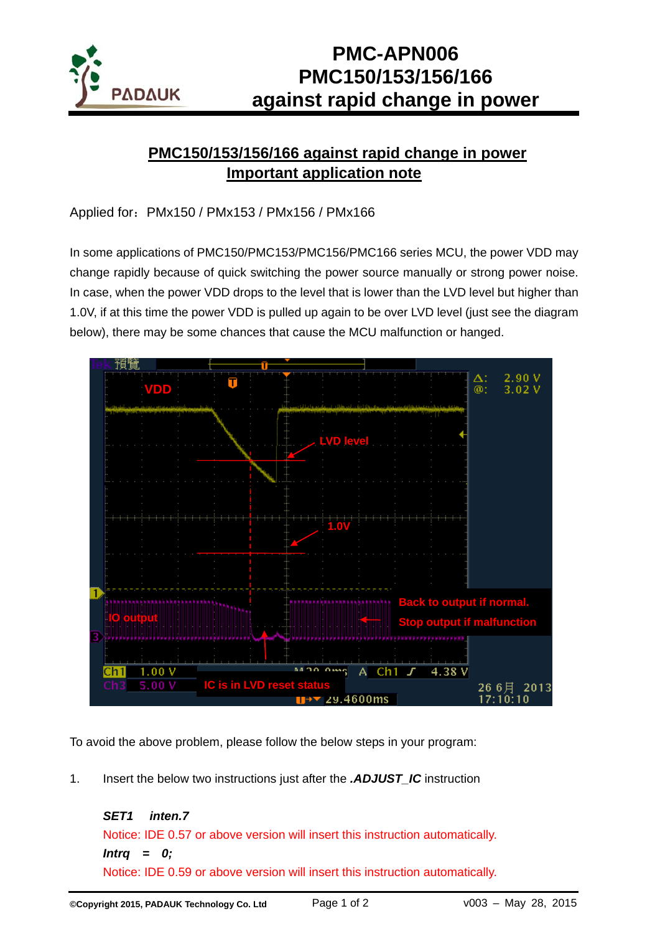

## **PMC-APN006 PMC150/153/156/166 against rapid change in power**

## **PMC150/153/156/166 against rapid change in power Important application note**

Applied for:PMx150 / PMx153 / PMx156 / PMx166

In some applications of PMC150/PMC153/PMC156/PMC166 series MCU, the power VDD may change rapidly because of quick switching the power source manually or strong power noise. In case, when the power VDD drops to the level that is lower than the LVD level but higher than 1.0V, if at this time the power VDD is pulled up again to be over LVD level (just see the diagram below), there may be some chances that cause the MCU malfunction or hanged.



To avoid the above problem, please follow the below steps in your program:

1. Insert the below two instructions just after the *.ADJUST\_IC* instruction

*SET1 inten.7*  Notice: IDE 0.57 or above version will insert this instruction automatically. *Intrq = 0;*  Notice: IDE 0.59 or above version will insert this instruction automatically.